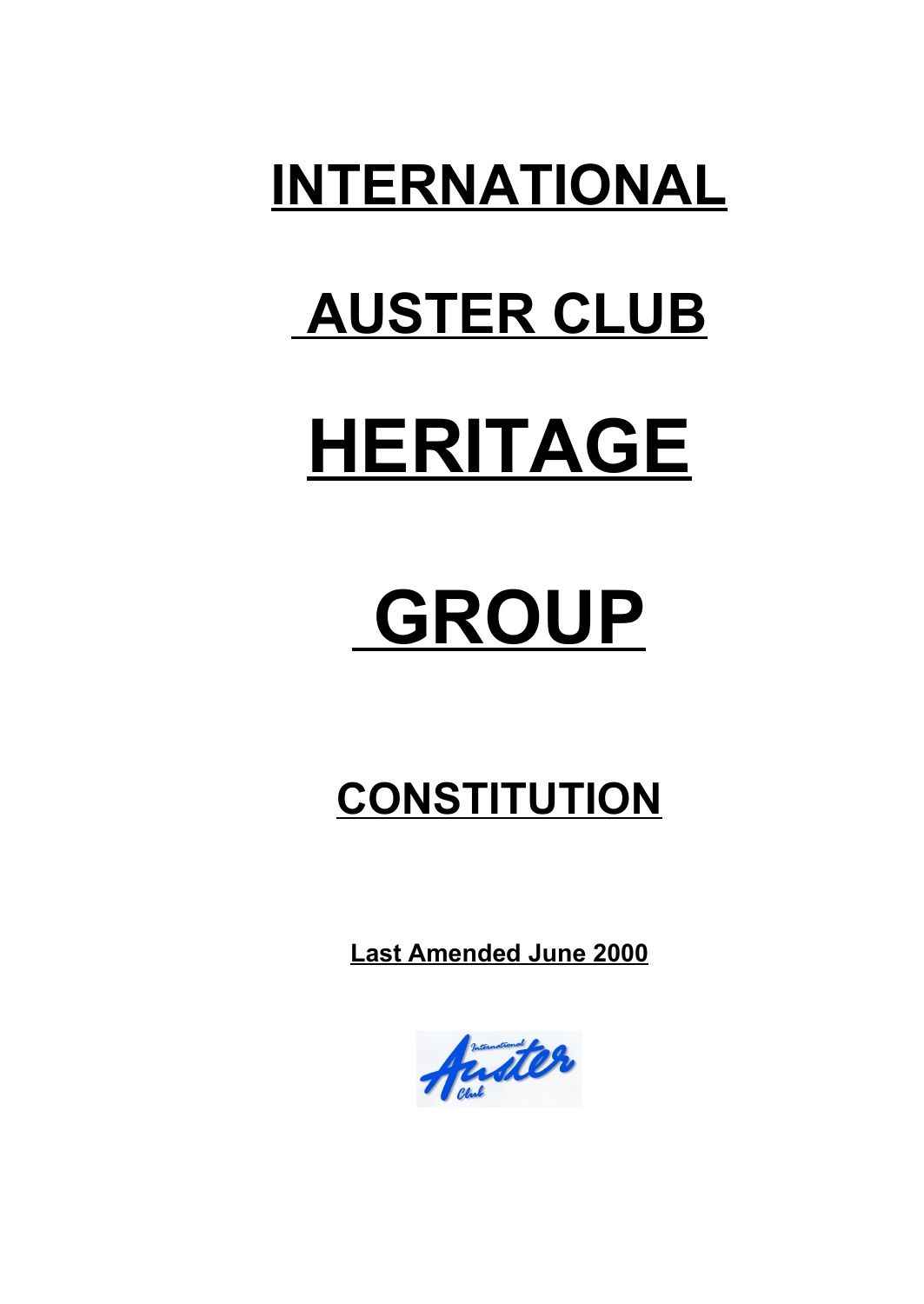### **INTERNATIONAL**

## **AUSTER CLUB**

# **HERITAGE**

## **GROUP**

### **CONSTITUTION**

 **Last Amended June 2000**

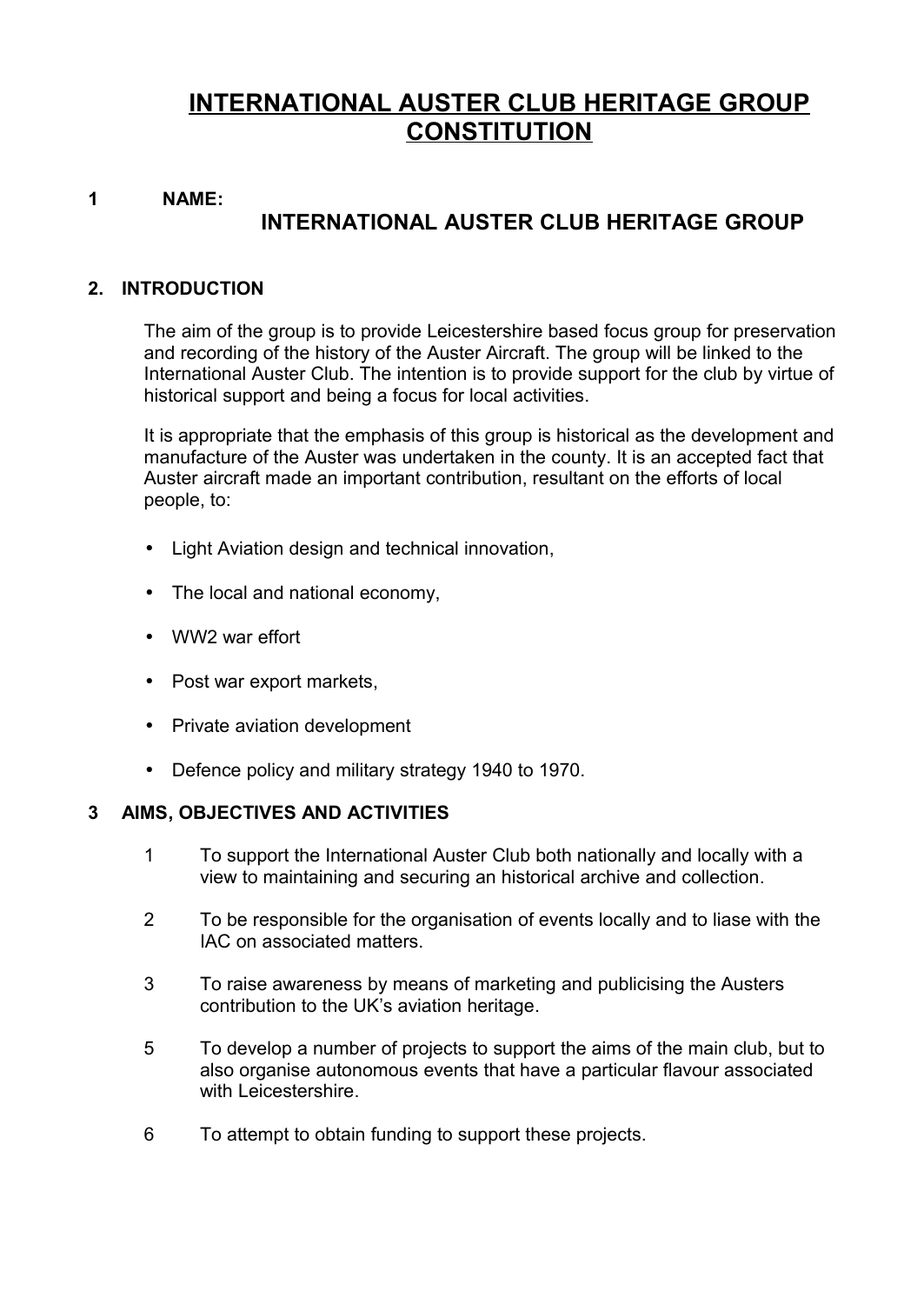#### **INTERNATIONAL AUSTER CLUB HERITAGE GROUP CONSTITUTION**

#### **1 NAME:**

#### **INTERNATIONAL AUSTER CLUB HERITAGE GROUP**

#### **2. INTRODUCTION**

The aim of the group is to provide Leicestershire based focus group for preservation and recording of the history of the Auster Aircraft. The group will be linked to the International Auster Club. The intention is to provide support for the club by virtue of historical support and being a focus for local activities.

It is appropriate that the emphasis of this group is historical as the development and manufacture of the Auster was undertaken in the county. It is an accepted fact that Auster aircraft made an important contribution, resultant on the efforts of local people, to:

- Light Aviation design and technical innovation,
- The local and national economy,
- WW2 war effort
- Post war export markets,
- Private aviation development
- Defence policy and military strategy 1940 to 1970.

#### **3 AIMS, OBJECTIVES AND ACTIVITIES**

- 1 To support the International Auster Club both nationally and locally with a view to maintaining and securing an historical archive and collection.
- 2 To be responsible for the organisation of events locally and to liase with the IAC on associated matters.
- 3 To raise awareness by means of marketing and publicising the Austers contribution to the UK's aviation heritage.
- 5 To develop a number of projects to support the aims of the main club, but to also organise autonomous events that have a particular flavour associated with Leicestershire.
- 6 To attempt to obtain funding to support these projects.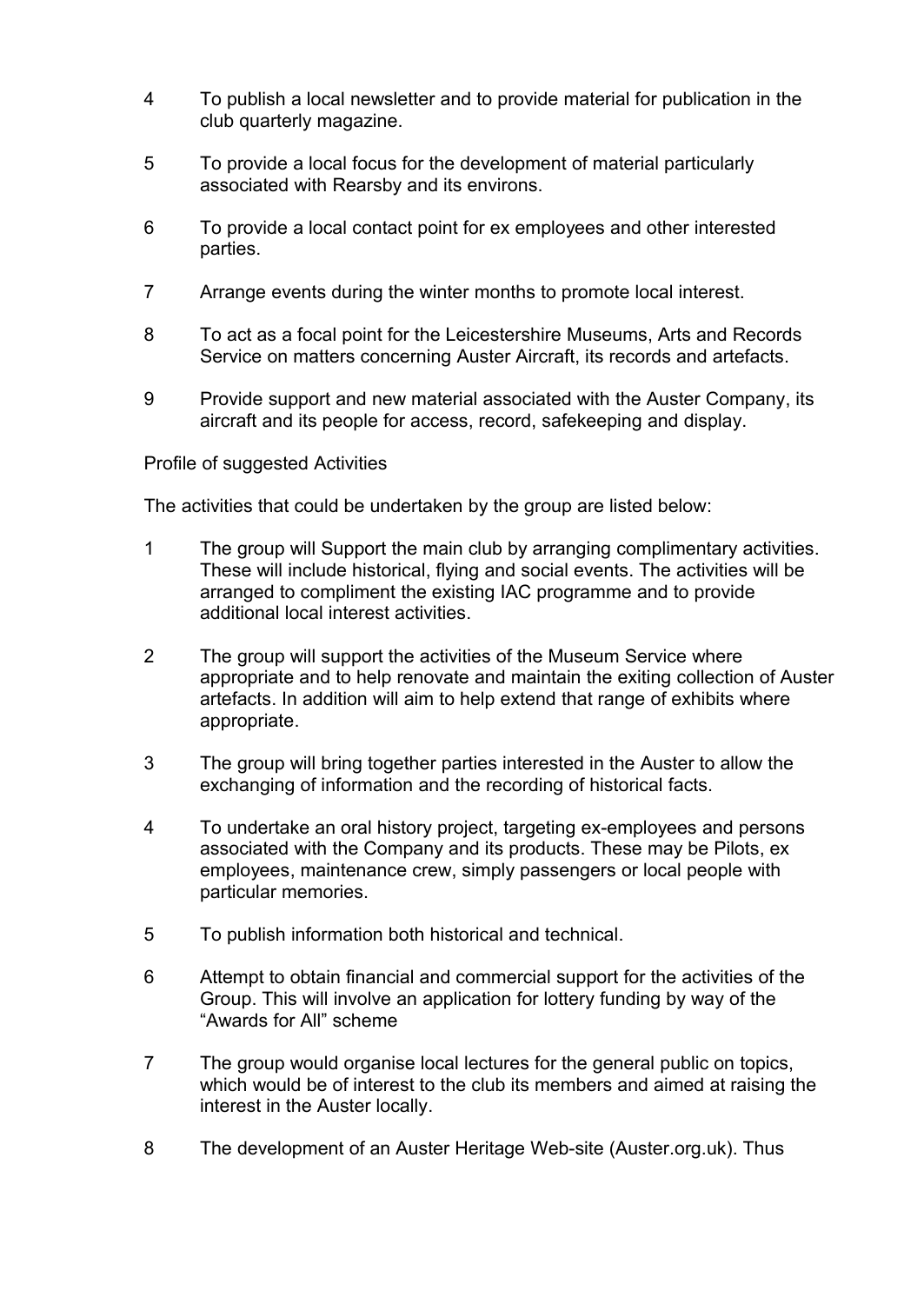- 4 To publish a local newsletter and to provide material for publication in the club quarterly magazine.
- 5 To provide a local focus for the development of material particularly associated with Rearsby and its environs.
- 6 To provide a local contact point for ex employees and other interested parties.
- 7 Arrange events during the winter months to promote local interest.
- 8 To act as a focal point for the Leicestershire Museums, Arts and Records Service on matters concerning Auster Aircraft, its records and artefacts.
- 9 Provide support and new material associated with the Auster Company, its aircraft and its people for access, record, safekeeping and display.

#### Profile of suggested Activities

The activities that could be undertaken by the group are listed below:

- 1 The group will Support the main club by arranging complimentary activities. These will include historical, flying and social events. The activities will be arranged to compliment the existing IAC programme and to provide additional local interest activities.
- 2 The group will support the activities of the Museum Service where appropriate and to help renovate and maintain the exiting collection of Auster artefacts. In addition will aim to help extend that range of exhibits where appropriate.
- 3 The group will bring together parties interested in the Auster to allow the exchanging of information and the recording of historical facts.
- 4 To undertake an oral history project, targeting ex-employees and persons associated with the Company and its products. These may be Pilots, ex employees, maintenance crew, simply passengers or local people with particular memories.
- 5 To publish information both historical and technical.
- 6 Attempt to obtain financial and commercial support for the activities of the Group. This will involve an application for lottery funding by way of the "Awards for All" scheme
- 7 The group would organise local lectures for the general public on topics, which would be of interest to the club its members and aimed at raising the interest in the Auster locally.
- 8 The development of an Auster Heritage Web-site (Auster.org.uk). Thus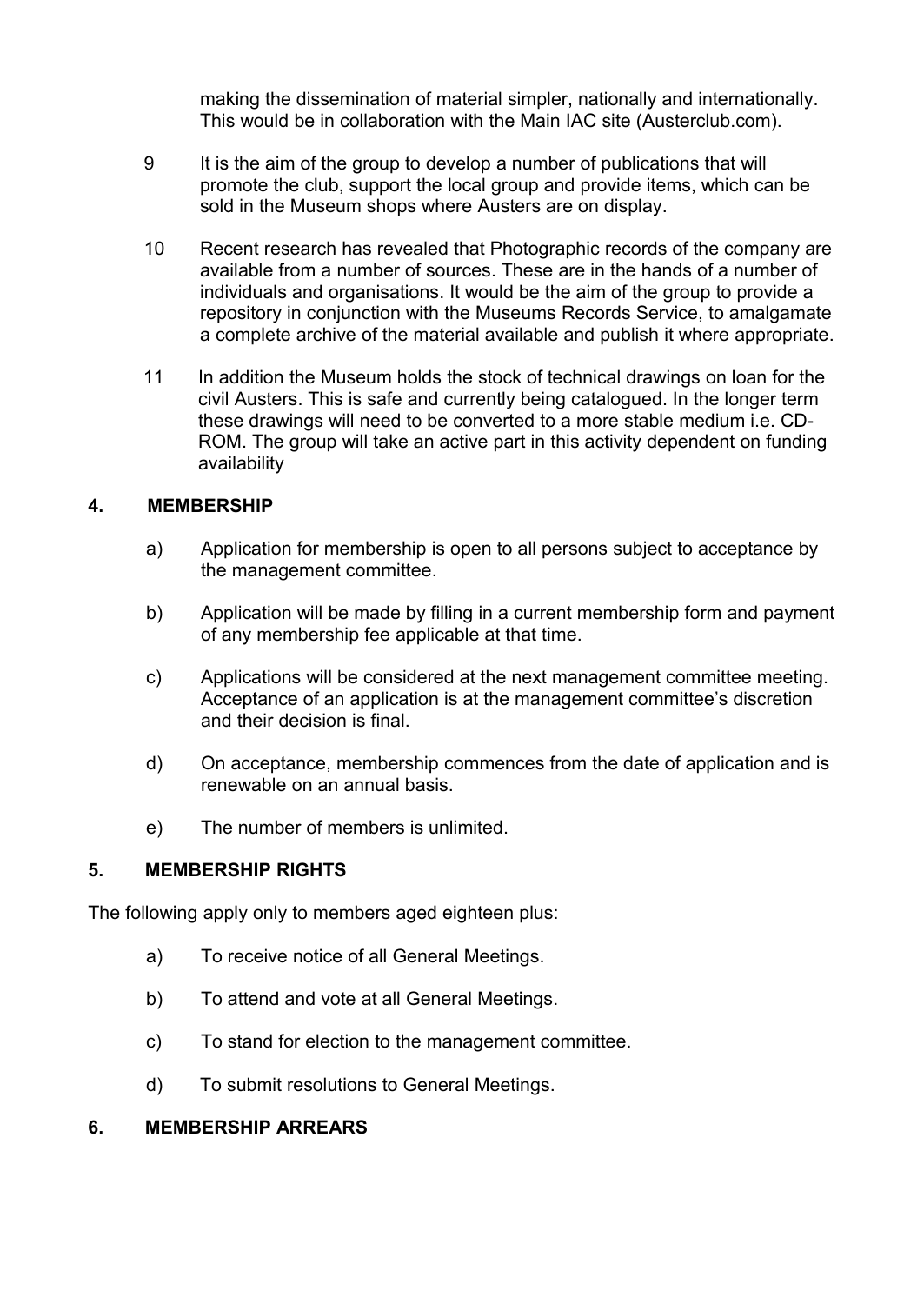making the dissemination of material simpler, nationally and internationally. This would be in collaboration with the Main IAC site (Austerclub.com).

- 9 It is the aim of the group to develop a number of publications that will promote the club, support the local group and provide items, which can be sold in the Museum shops where Austers are on display.
- 10 Recent research has revealed that Photographic records of the company are available from a number of sources. These are in the hands of a number of individuals and organisations. It would be the aim of the group to provide a repository in conjunction with the Museums Records Service, to amalgamate a complete archive of the material available and publish it where appropriate.
- 11 In addition the Museum holds the stock of technical drawings on loan for the civil Austers. This is safe and currently being catalogued. In the longer term these drawings will need to be converted to a more stable medium i.e. CD-ROM. The group will take an active part in this activity dependent on funding availability

#### **4. MEMBERSHIP**

- a) Application for membership is open to all persons subject to acceptance by the management committee.
- b) Application will be made by filling in a current membership form and payment of any membership fee applicable at that time.
- c) Applications will be considered at the next management committee meeting. Acceptance of an application is at the management committee's discretion and their decision is final.
- d) On acceptance, membership commences from the date of application and is renewable on an annual basis.
- e) The number of members is unlimited.

#### **5. MEMBERSHIP RIGHTS**

The following apply only to members aged eighteen plus:

- a) To receive notice of all General Meetings.
- b) To attend and vote at all General Meetings.
- c) To stand for election to the management committee.
- d) To submit resolutions to General Meetings.

#### **6. MEMBERSHIP ARREARS**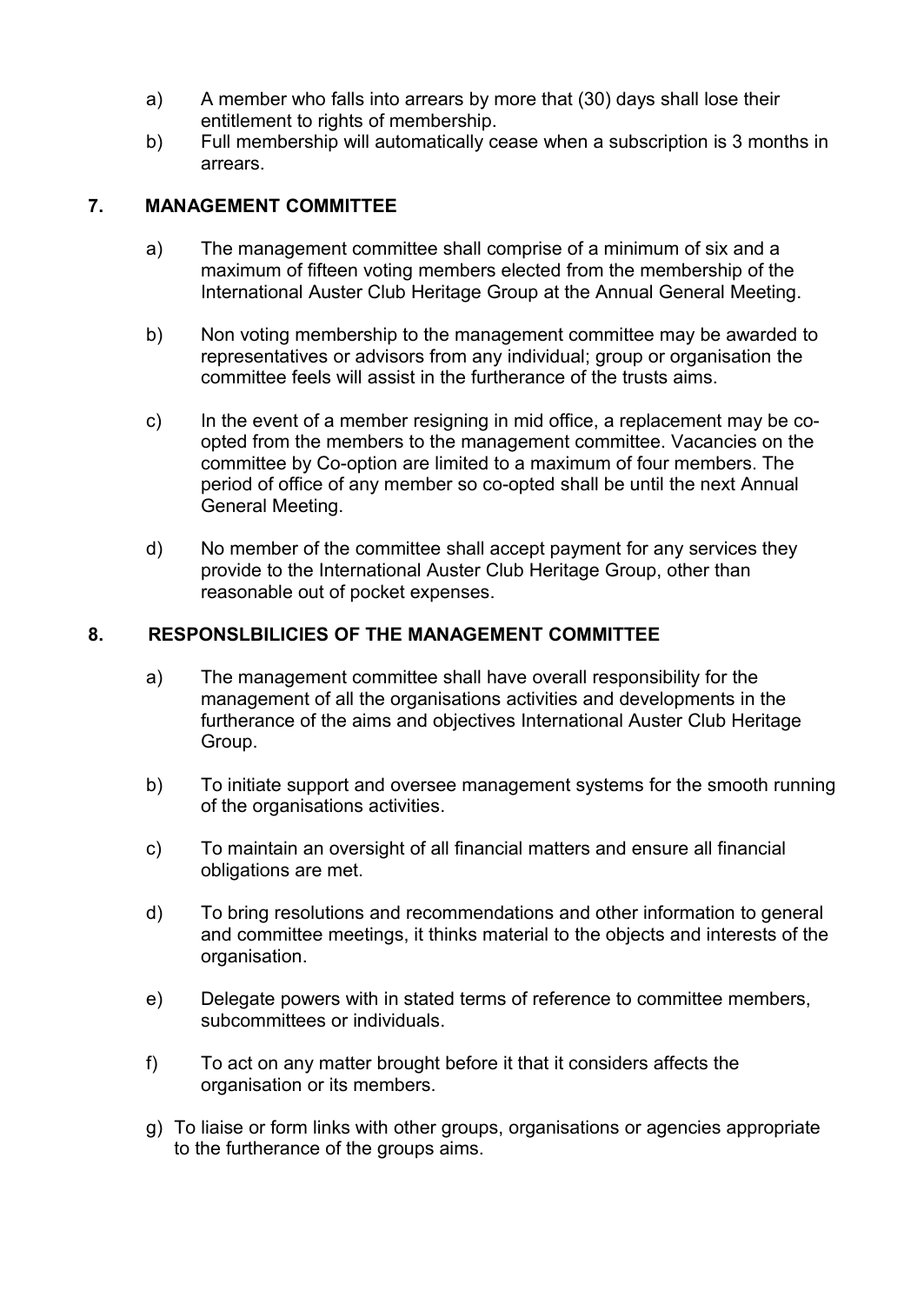- a) A member who falls into arrears by more that (30) days shall lose their entitlement to rights of membership.
- b) Full membership will automatically cease when a subscription is 3 months in arrears.

#### **7. MANAGEMENT COMMITTEE**

- a) The management committee shall comprise of a minimum of six and a maximum of fifteen voting members elected from the membership of the International Auster Club Heritage Group at the Annual General Meeting.
- b) Non voting membership to the management committee may be awarded to representatives or advisors from any individual; group or organisation the committee feels will assist in the furtherance of the trusts aims.
- c) In the event of a member resigning in mid office, a replacement may be coopted from the members to the management committee. Vacancies on the committee by Co-option are limited to a maximum of four members. The period of office of any member so co-opted shall be until the next Annual General Meeting.
- d) No member of the committee shall accept payment for any services they provide to the International Auster Club Heritage Group, other than reasonable out of pocket expenses.

#### **8. RESPONSLBILICIES OF THE MANAGEMENT COMMITTEE**

- a) The management committee shall have overall responsibility for the management of all the organisations activities and developments in the furtherance of the aims and objectives International Auster Club Heritage Group.
- b) To initiate support and oversee management systems for the smooth running of the organisations activities.
- c) To maintain an oversight of all financial matters and ensure all financial obligations are met.
- d) To bring resolutions and recommendations and other information to general and committee meetings, it thinks material to the objects and interests of the organisation.
- e) Delegate powers with in stated terms of reference to committee members, subcommittees or individuals.
- f) To act on any matter brought before it that it considers affects the organisation or its members.
- g) To liaise or form links with other groups, organisations or agencies appropriate to the furtherance of the groups aims.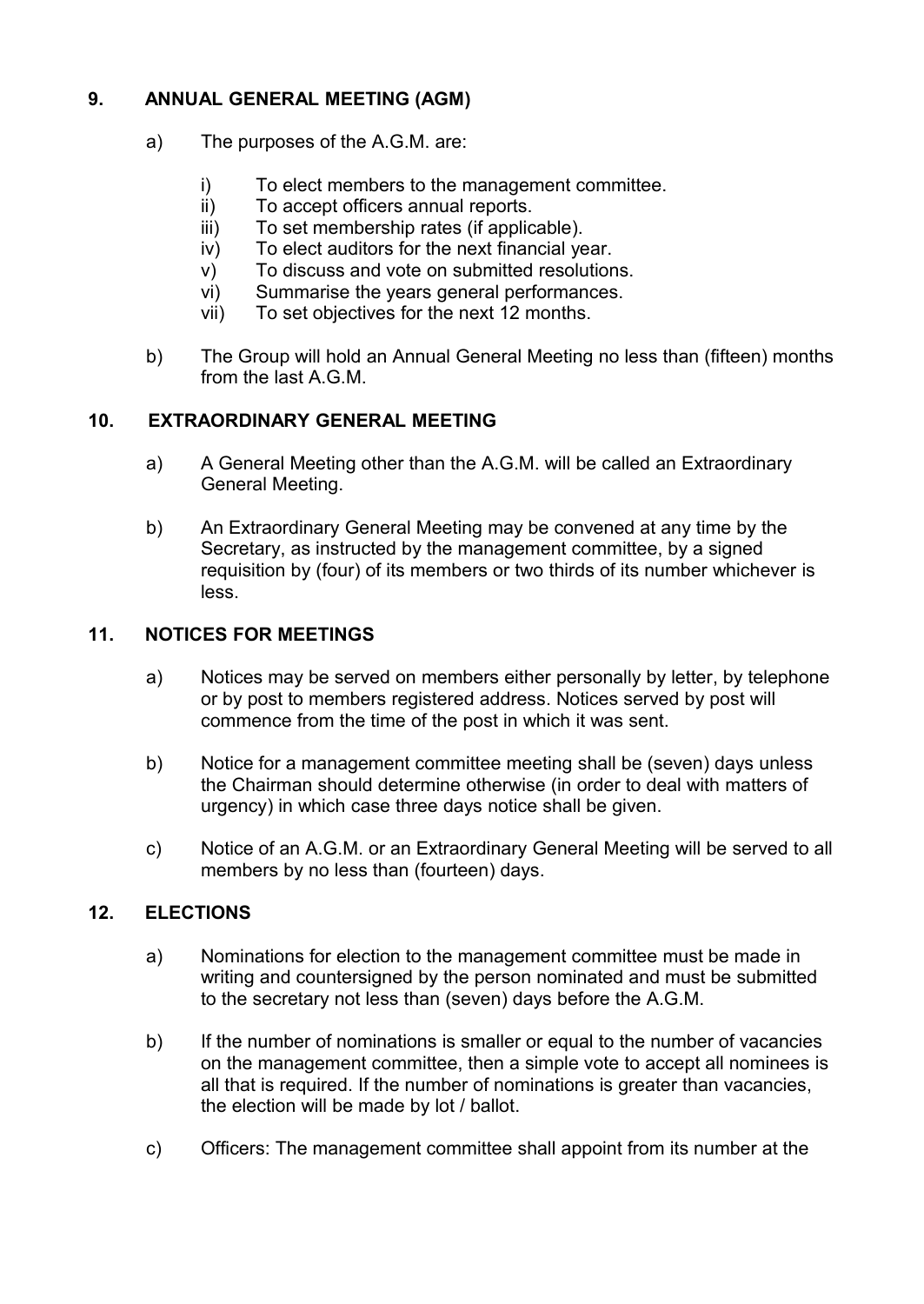#### **9. ANNUAL GENERAL MEETING (AGM)**

- a) The purposes of the A.G.M. are:
	- i) To elect members to the management committee.
	- ii) To accept officers annual reports.
	- iii) To set membership rates (if applicable).
	- iv) To elect auditors for the next financial year.
	- v) To discuss and vote on submitted resolutions.
	- vi) Summarise the years general performances.
	- vii) To set objectives for the next 12 months.
- b) The Group will hold an Annual General Meeting no less than (fifteen) months from the last A.G.M.

#### **10. EXTRAORDINARY GENERAL MEETING**

- a) A General Meeting other than the A.G.M. will be called an Extraordinary General Meeting.
- b) An Extraordinary General Meeting may be convened at any time by the Secretary, as instructed by the management committee, by a signed requisition by (four) of its members or two thirds of its number whichever is less.

#### **11. NOTICES FOR MEETINGS**

- a) Notices may be served on members either personally by letter, by telephone or by post to members registered address. Notices served by post will commence from the time of the post in which it was sent.
- b) Notice for a management committee meeting shall be (seven) days unless the Chairman should determine otherwise (in order to deal with matters of urgency) in which case three days notice shall be given.
- c) Notice of an A.G.M. or an Extraordinary General Meeting will be served to all members by no less than (fourteen) days.

#### **12. ELECTIONS**

- a) Nominations for election to the management committee must be made in writing and countersigned by the person nominated and must be submitted to the secretary not less than (seven) days before the A.G.M.
- b) If the number of nominations is smaller or equal to the number of vacancies on the management committee, then a simple vote to accept all nominees is all that is required. If the number of nominations is greater than vacancies, the election will be made by lot / ballot.
- c) Officers: The management committee shall appoint from its number at the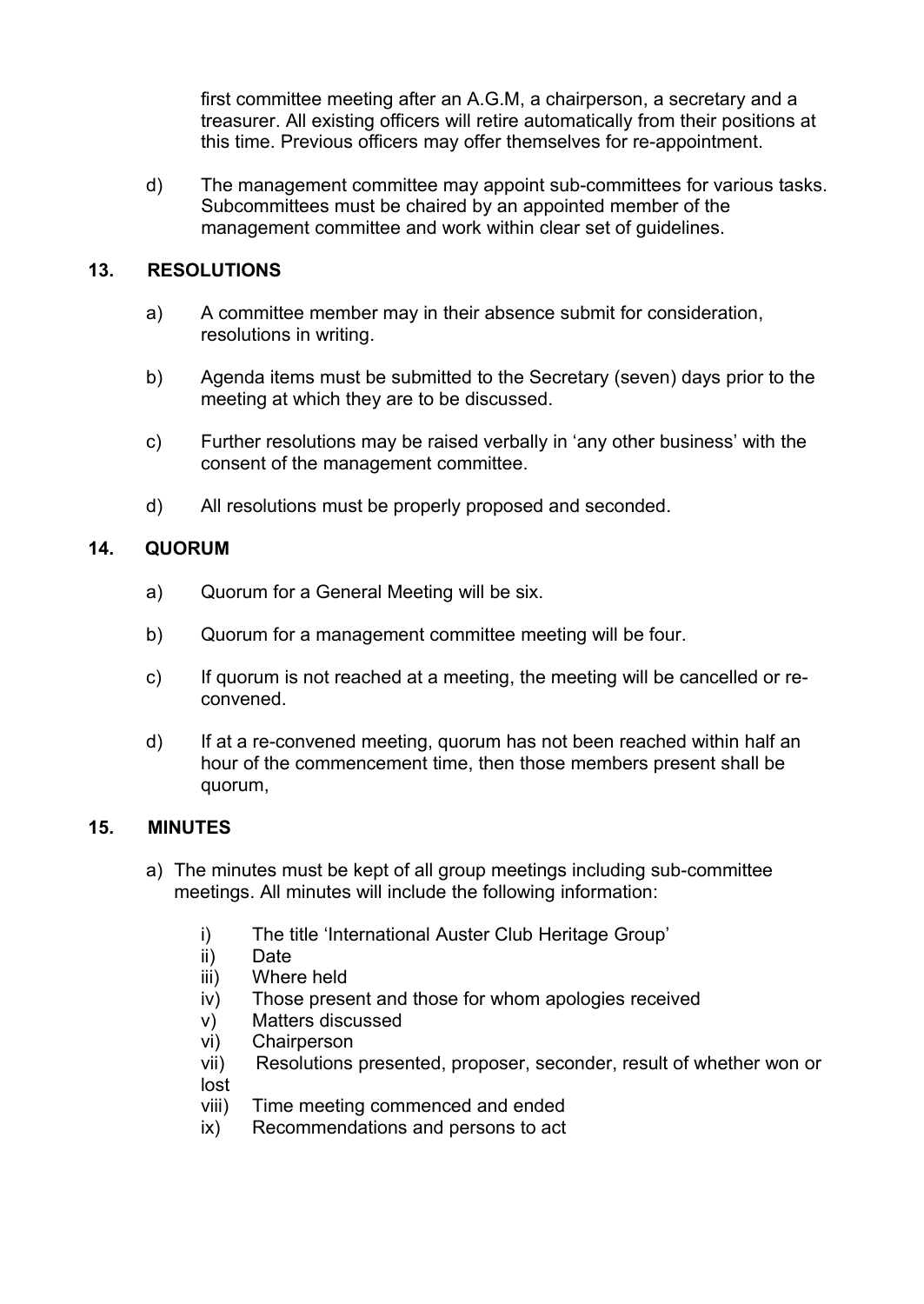first committee meeting after an A.G.M, a chairperson, a secretary and a treasurer. All existing officers will retire automatically from their positions at this time. Previous officers may offer themselves for re-appointment.

d) The management committee may appoint sub-committees for various tasks. Subcommittees must be chaired by an appointed member of the management committee and work within clear set of guidelines.

#### **13. RESOLUTIONS**

- a) A committee member may in their absence submit for consideration, resolutions in writing.
- b) Agenda items must be submitted to the Secretary (seven) days prior to the meeting at which they are to be discussed.
- c) Further resolutions may be raised verbally in 'any other business' with the consent of the management committee.
- d) All resolutions must be properly proposed and seconded.

#### **14. QUORUM**

- a) Quorum for a General Meeting will be six.
- b) Quorum for a management committee meeting will be four.
- c) If quorum is not reached at a meeting, the meeting will be cancelled or reconvened.
- d) If at a re-convened meeting, quorum has not been reached within half an hour of the commencement time, then those members present shall be quorum,

#### **15. MINUTES**

- a) The minutes must be kept of all group meetings including sub-committee meetings. All minutes will include the following information:
	- i) The title 'International Auster Club Heritage Group'
	- ii) Date
	- iii) Where held
	- iv) Those present and those for whom apologies received
	- v) Matters discussed
	- vi) Chairperson
	- vii) Resolutions presented, proposer, seconder, result of whether won or lost
	- viii) Time meeting commenced and ended
	- ix) Recommendations and persons to act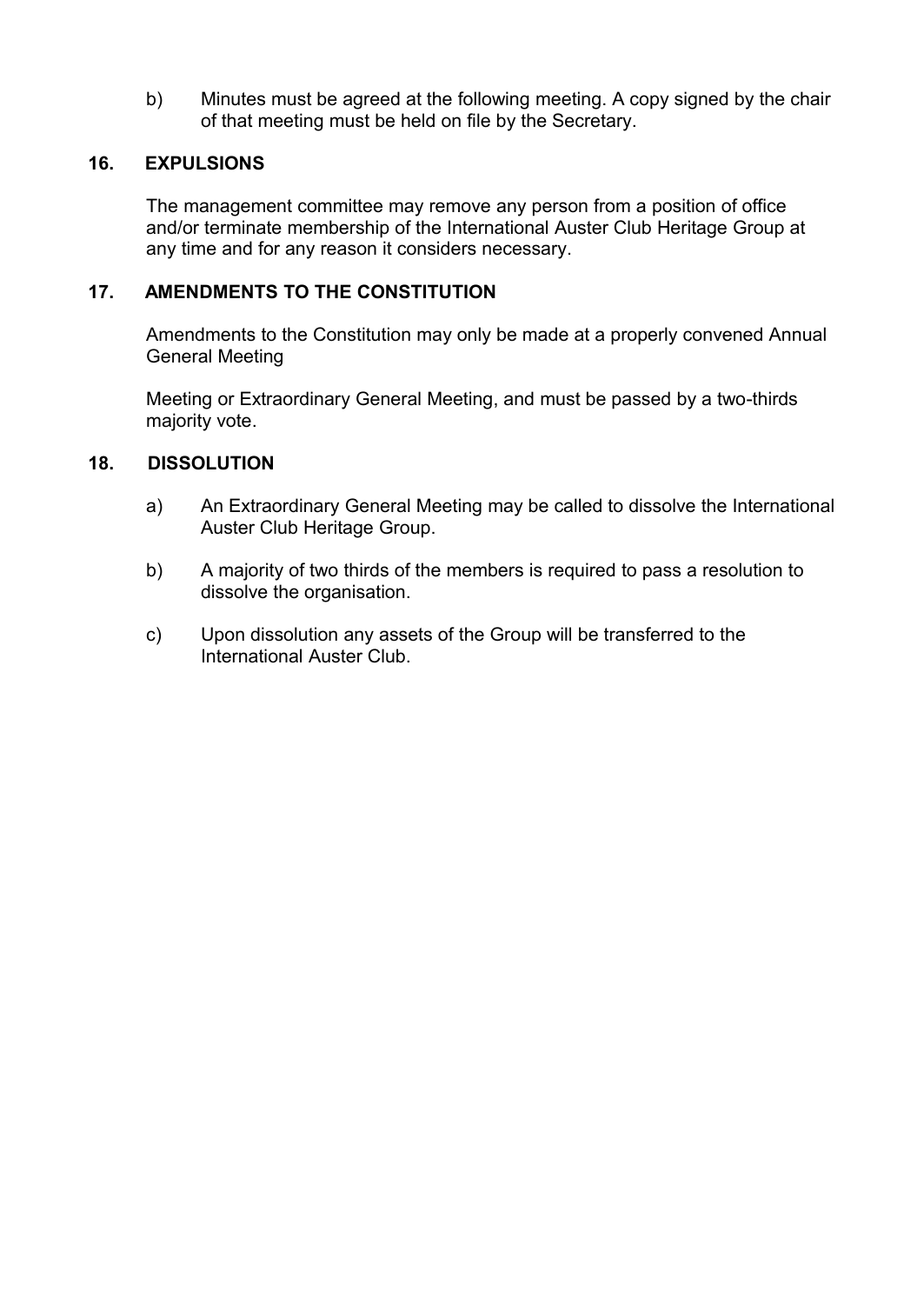b) Minutes must be agreed at the following meeting. A copy signed by the chair of that meeting must be held on file by the Secretary.

#### **16. EXPULSIONS**

The management committee may remove any person from a position of office and/or terminate membership of the International Auster Club Heritage Group at any time and for any reason it considers necessary.

#### **17. AMENDMENTS TO THE CONSTITUTION**

Amendments to the Constitution may only be made at a properly convened Annual General Meeting

Meeting or Extraordinary General Meeting, and must be passed by a two-thirds majority vote.

#### **18. DISSOLUTION**

- a) An Extraordinary General Meeting may be called to dissolve the International Auster Club Heritage Group.
- b) A majority of two thirds of the members is required to pass a resolution to dissolve the organisation.
- c) Upon dissolution any assets of the Group will be transferred to the International Auster Club.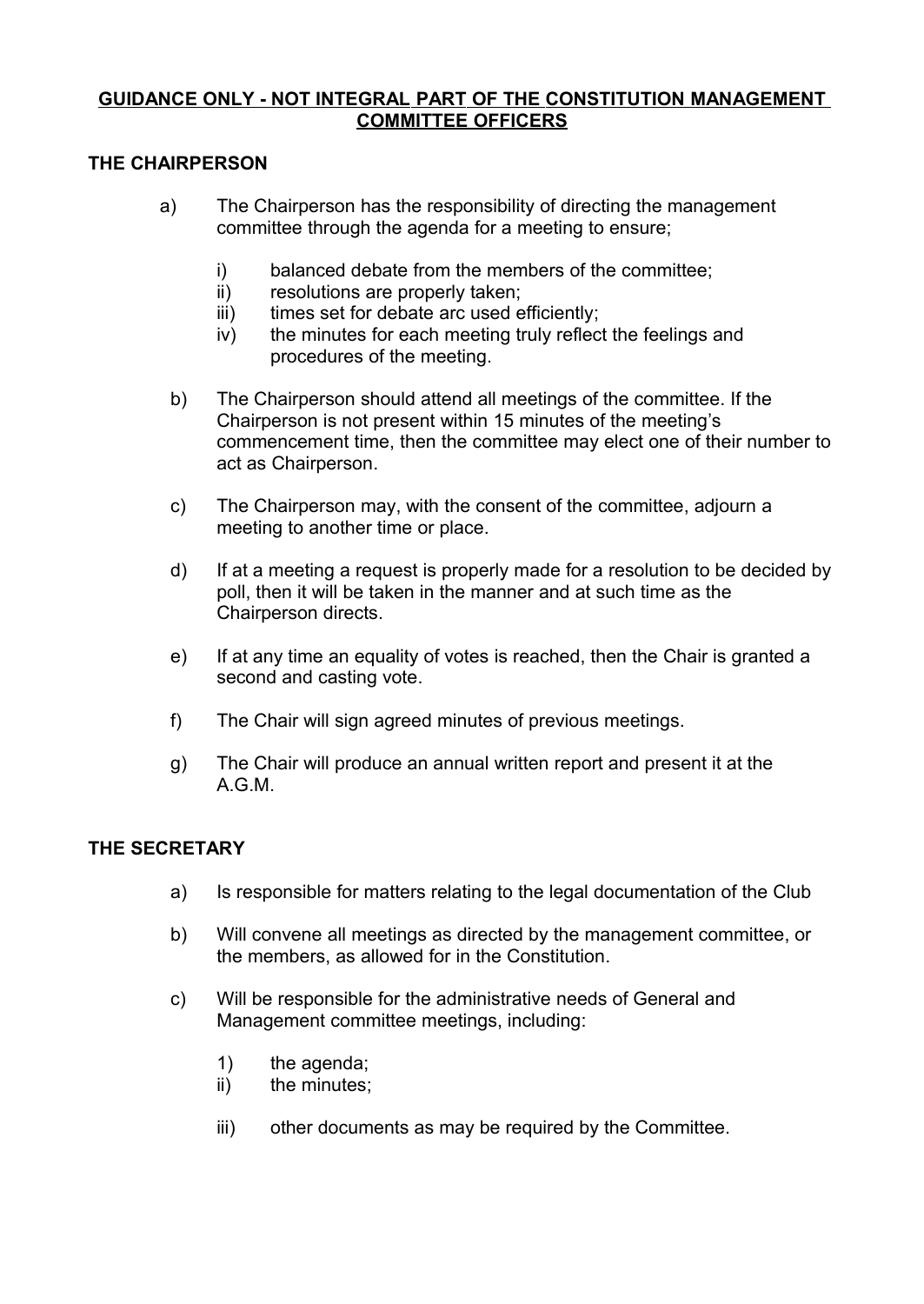#### **GUIDANCE ONLY - NOT INTEGRAL PART OF THE CONSTITUTION MANAGEMENT COMMITTEE OFFICERS**

#### **THE CHAIRPERSON**

- a) The Chairperson has the responsibility of directing the management committee through the agenda for a meeting to ensure;
	- i) balanced debate from the members of the committee;
	- ii) resolutions are properly taken;
	- iii) times set for debate arc used efficiently;
	- iv) the minutes for each meeting truly reflect the feelings and procedures of the meeting.
	- b) The Chairperson should attend all meetings of the committee. If the Chairperson is not present within 15 minutes of the meeting's commencement time, then the committee may elect one of their number to act as Chairperson.
	- c) The Chairperson may, with the consent of the committee, adjourn a meeting to another time or place.
	- d) If at a meeting a request is properly made for a resolution to be decided by poll, then it will be taken in the manner and at such time as the Chairperson directs.
	- e) If at any time an equality of votes is reached, then the Chair is granted a second and casting vote.
	- f) The Chair will sign agreed minutes of previous meetings.
	- g) The Chair will produce an annual written report and present it at the A.G.M.

#### **THE SECRETARY**

- a) Is responsible for matters relating to the legal documentation of the Club
- b) Will convene all meetings as directed by the management committee, or the members, as allowed for in the Constitution.
- c) Will be responsible for the administrative needs of General and Management committee meetings, including:
	- 1) the agenda;
	- ii) the minutes;
	- iii) other documents as may be required by the Committee.